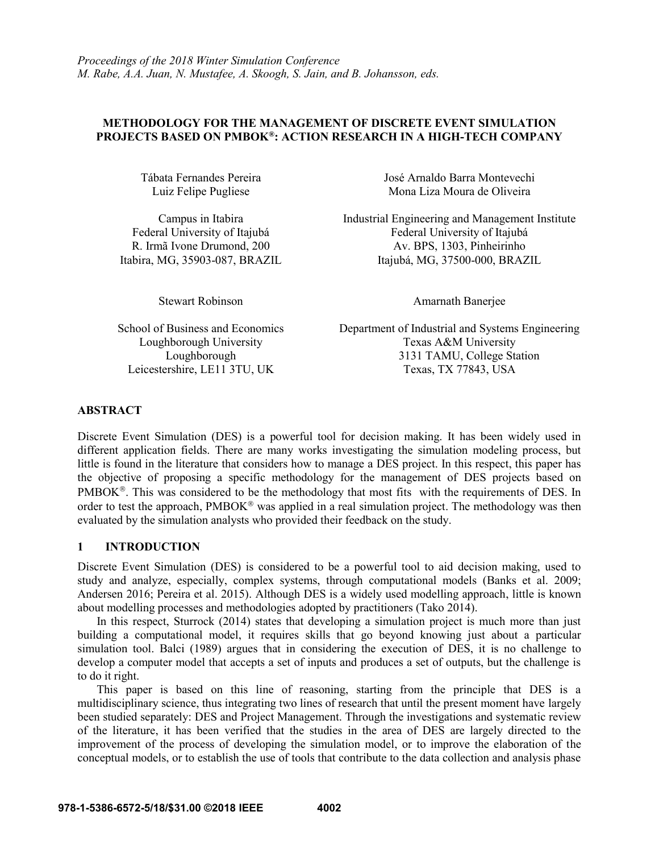# **METHODOLOGY FOR THE MANAGEMENT OF DISCRETE EVENT SIMULATION PROJECTS BASED ON PMBOK® : ACTION RESEARCH IN A HIGH-TECH COMPANY**

Loughborough University Leicestershire, LE11 3TU, UK

Tábata Fernandes Pereira José Arnaldo Barra Montevechi Luiz Felipe Pugliese Mona Liza Moura de Oliveira

Campus in Itabira **Industrial Engineering and Management Institute** Federal University of Itajubá Federal University of Itajubá R. Irmã Ivone Drumond, 200 Av. BPS, 1303, Pinheirinho Itabira, MG, 35903-087, BRAZIL Itajubá, MG, 37500-000, BRAZIL

Stewart Robinson **Amarnath Banerjee** 

School of Business and Economics Department of Industrial and Systems Engineering<br>Loughborough University Texas A&M University Loughborough 3131 TAMU, College Station<br>
arshire, LE11 3TU, UK<br>
Texas, TX 77843, USA

# **ABSTRACT**

Discrete Event Simulation (DES) is a powerful tool for decision making. It has been widely used in different application fields. There are many works investigating the simulation modeling process, but little is found in the literature that considers how to manage a DES project. In this respect, this paper has the objective of proposing a specific methodology for the management of DES projects based on PMBOK<sup>®</sup>. This was considered to be the methodology that most fits with the requirements of DES. In order to test the approach,  $PMBOK^{\circledast}$  was applied in a real simulation project. The methodology was then evaluated by the simulation analysts who provided their feedback on the study.

### **1 INTRODUCTION**

Discrete Event Simulation (DES) is considered to be a powerful tool to aid decision making, used to study and analyze, especially, complex systems, through computational models (Banks et al. 2009; Andersen 2016; Pereira et al. 2015). Although DES is a widely used modelling approach, little is known about modelling processes and methodologies adopted by practitioners (Tako 2014).

In this respect, Sturrock (2014) states that developing a simulation project is much more than just building a computational model, it requires skills that go beyond knowing just about a particular simulation tool. Balci (1989) argues that in considering the execution of DES, it is no challenge to develop a computer model that accepts a set of inputs and produces a set of outputs, but the challenge is to do it right.

This paper is based on this line of reasoning, starting from the principle that DES is a multidisciplinary science, thus integrating two lines of research that until the present moment have largely been studied separately: DES and Project Management. Through the investigations and systematic review of the literature, it has been verified that the studies in the area of DES are largely directed to the improvement of the process of developing the simulation model, or to improve the elaboration of the conceptual models, or to establish the use of tools that contribute to the data collection and analysis phase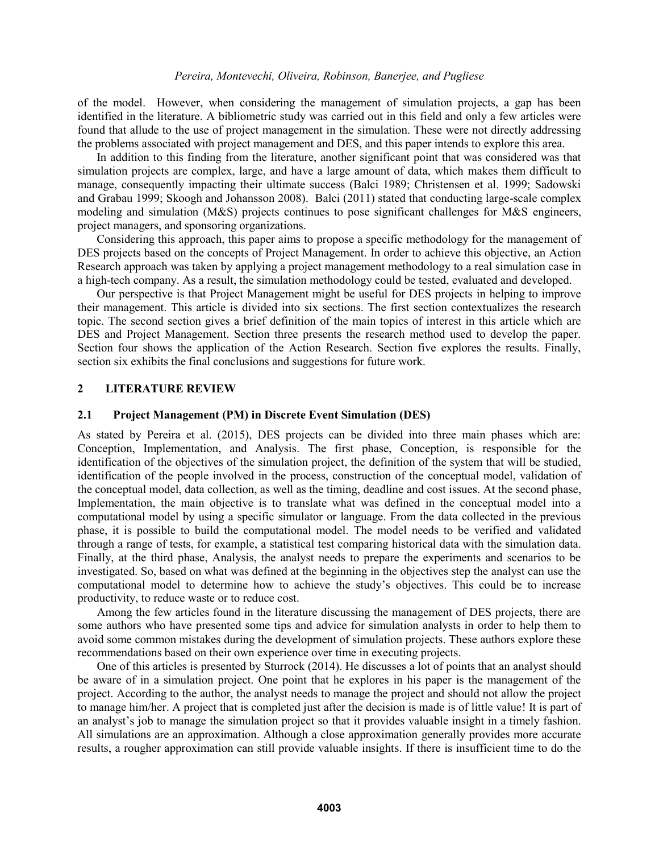of the model. However, when considering the management of simulation projects, a gap has been identified in the literature. A bibliometric study was carried out in this field and only a few articles were found that allude to the use of project management in the simulation. These were not directly addressing the problems associated with project management and DES, and this paper intends to explore this area.

In addition to this finding from the literature, another significant point that was considered was that simulation projects are complex, large, and have a large amount of data, which makes them difficult to manage, consequently impacting their ultimate success (Balci 1989; Christensen et al. 1999; Sadowski and Grabau 1999; Skoogh and Johansson 2008). Balci (2011) stated that conducting large-scale complex modeling and simulation (M&S) projects continues to pose significant challenges for M&S engineers, project managers, and sponsoring organizations.

Considering this approach, this paper aims to propose a specific methodology for the management of DES projects based on the concepts of Project Management. In order to achieve this objective, an Action Research approach was taken by applying a project management methodology to a real simulation case in a high-tech company. As a result, the simulation methodology could be tested, evaluated and developed.

Our perspective is that Project Management might be useful for DES projects in helping to improve their management. This article is divided into six sections. The first section contextualizes the research topic. The second section gives a brief definition of the main topics of interest in this article which are DES and Project Management. Section three presents the research method used to develop the paper. Section four shows the application of the Action Research. Section five explores the results. Finally, section six exhibits the final conclusions and suggestions for future work.

### **2 LITERATURE REVIEW**

#### **2.1 Project Management (PM) in Discrete Event Simulation (DES)**

As stated by Pereira et al. (2015), DES projects can be divided into three main phases which are: Conception, Implementation, and Analysis. The first phase, Conception, is responsible for the identification of the objectives of the simulation project, the definition of the system that will be studied, identification of the people involved in the process, construction of the conceptual model, validation of the conceptual model, data collection, as well as the timing, deadline and cost issues. At the second phase, Implementation, the main objective is to translate what was defined in the conceptual model into a computational model by using a specific simulator or language. From the data collected in the previous phase, it is possible to build the computational model. The model needs to be verified and validated through a range of tests, for example, a statistical test comparing historical data with the simulation data. Finally, at the third phase, Analysis, the analyst needs to prepare the experiments and scenarios to be investigated. So, based on what was defined at the beginning in the objectives step the analyst can use the computational model to determine how to achieve the study's objectives. This could be to increase productivity, to reduce waste or to reduce cost.

Among the few articles found in the literature discussing the management of DES projects, there are some authors who have presented some tips and advice for simulation analysts in order to help them to avoid some common mistakes during the development of simulation projects. These authors explore these recommendations based on their own experience over time in executing projects.

One of this articles is presented by Sturrock (2014). He discusses a lot of points that an analyst should be aware of in a simulation project. One point that he explores in his paper is the management of the project. According to the author, the analyst needs to manage the project and should not allow the project to manage him/her. A project that is completed just after the decision is made is of little value! It is part of an analyst's job to manage the simulation project so that it provides valuable insight in a timely fashion. All simulations are an approximation. Although a close approximation generally provides more accurate results, a rougher approximation can still provide valuable insights. If there is insufficient time to do the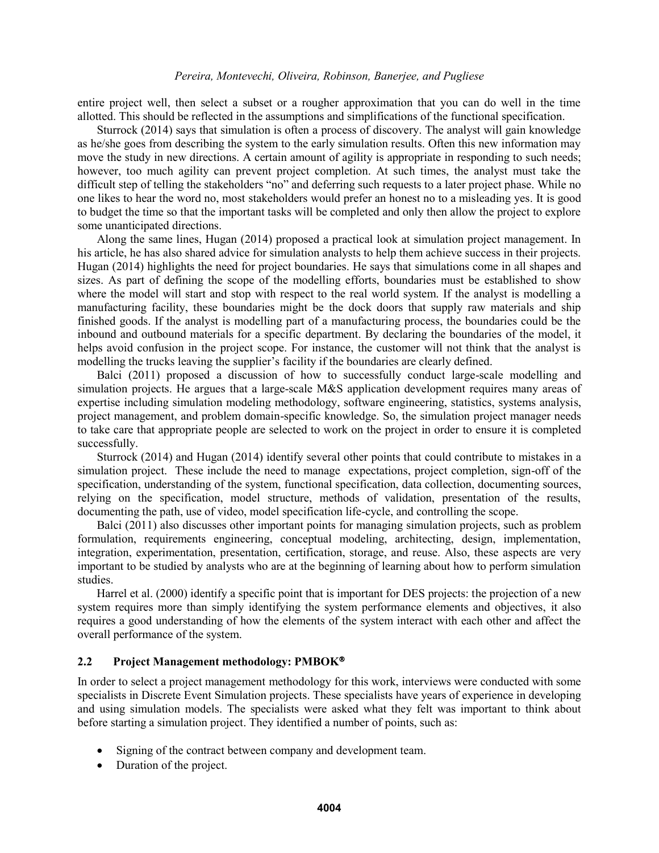entire project well, then select a subset or a rougher approximation that you can do well in the time allotted. This should be reflected in the assumptions and simplifications of the functional specification.

Sturrock (2014) says that simulation is often a process of discovery. The analyst will gain knowledge as he/she goes from describing the system to the early simulation results. Often this new information may move the study in new directions. A certain amount of agility is appropriate in responding to such needs; however, too much agility can prevent project completion. At such times, the analyst must take the difficult step of telling the stakeholders "no" and deferring such requests to a later project phase. While no one likes to hear the word no, most stakeholders would prefer an honest no to a misleading yes. It is good to budget the time so that the important tasks will be completed and only then allow the project to explore some unanticipated directions.

Along the same lines, Hugan (2014) proposed a practical look at simulation project management. In his article, he has also shared advice for simulation analysts to help them achieve success in their projects. Hugan (2014) highlights the need for project boundaries. He says that simulations come in all shapes and sizes. As part of defining the scope of the modelling efforts, boundaries must be established to show where the model will start and stop with respect to the real world system. If the analyst is modelling a manufacturing facility, these boundaries might be the dock doors that supply raw materials and ship finished goods. If the analyst is modelling part of a manufacturing process, the boundaries could be the inbound and outbound materials for a specific department. By declaring the boundaries of the model, it helps avoid confusion in the project scope. For instance, the customer will not think that the analyst is modelling the trucks leaving the supplier's facility if the boundaries are clearly defined.

Balci (2011) proposed a discussion of how to successfully conduct large-scale modelling and simulation projects. He argues that a large-scale M&S application development requires many areas of expertise including simulation modeling methodology, software engineering, statistics, systems analysis, project management, and problem domain-specific knowledge. So, the simulation project manager needs to take care that appropriate people are selected to work on the project in order to ensure it is completed successfully.

Sturrock (2014) and Hugan (2014) identify several other points that could contribute to mistakes in a simulation project. These include the need to manage expectations, project completion, sign-off of the specification, understanding of the system, functional specification, data collection, documenting sources, relying on the specification, model structure, methods of validation, presentation of the results, documenting the path, use of video, model specification life-cycle, and controlling the scope.

Balci (2011) also discusses other important points for managing simulation projects, such as problem formulation, requirements engineering, conceptual modeling, architecting, design, implementation, integration, experimentation, presentation, certification, storage, and reuse. Also, these aspects are very important to be studied by analysts who are at the beginning of learning about how to perform simulation studies.

Harrel et al. (2000) identify a specific point that is important for DES projects: the projection of a new system requires more than simply identifying the system performance elements and objectives, it also requires a good understanding of how the elements of the system interact with each other and affect the overall performance of the system.

### **2.2 Project Management methodology: PMBOK**

In order to select a project management methodology for this work, interviews were conducted with some specialists in Discrete Event Simulation projects. These specialists have years of experience in developing and using simulation models. The specialists were asked what they felt was important to think about before starting a simulation project. They identified a number of points, such as:

- Signing of the contract between company and development team.
- Duration of the project.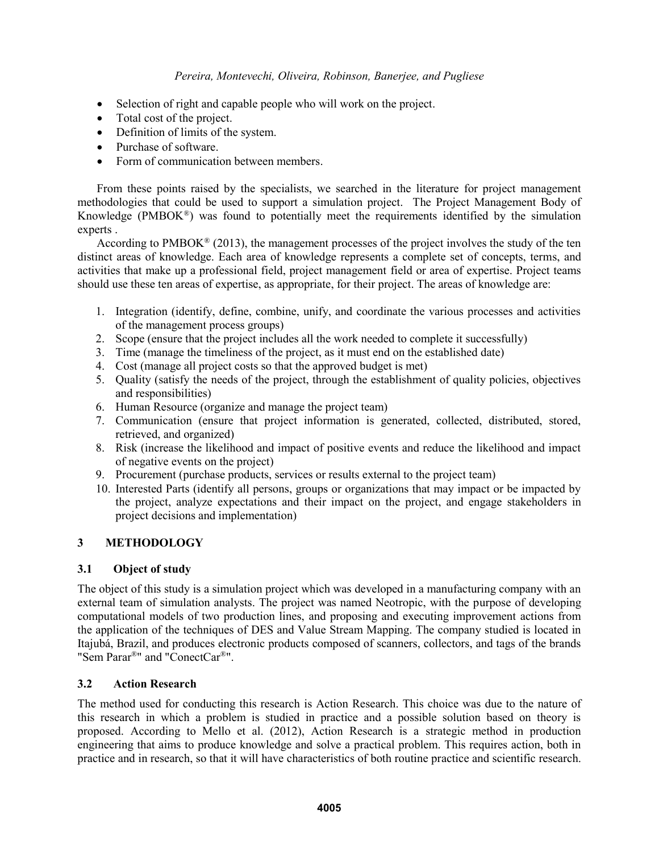- Selection of right and capable people who will work on the project.
- Total cost of the project.
- Definition of limits of the system.
- Purchase of software.
- Form of communication between members.

From these points raised by the specialists, we searched in the literature for project management methodologies that could be used to support a simulation project. The Project Management Body of Knowledge (PMBOK®) was found to potentially meet the requirements identified by the simulation experts .

According to  $PMBOK^{\circledast}$  (2013), the management processes of the project involves the study of the ten distinct areas of knowledge. Each area of knowledge represents a complete set of concepts, terms, and activities that make up a professional field, project management field or area of expertise. Project teams should use these ten areas of expertise, as appropriate, for their project. The areas of knowledge are:

- 1. Integration (identify, define, combine, unify, and coordinate the various processes and activities of the management process groups)
- 2. Scope (ensure that the project includes all the work needed to complete it successfully)
- 3. Time (manage the timeliness of the project, as it must end on the established date)
- 4. Cost (manage all project costs so that the approved budget is met)
- 5. Quality (satisfy the needs of the project, through the establishment of quality policies, objectives and responsibilities)
- 6. Human Resource (organize and manage the project team)
- 7. Communication (ensure that project information is generated, collected, distributed, stored, retrieved, and organized)
- 8. Risk (increase the likelihood and impact of positive events and reduce the likelihood and impact of negative events on the project)
- 9. Procurement (purchase products, services or results external to the project team)
- 10. Interested Parts (identify all persons, groups or organizations that may impact or be impacted by the project, analyze expectations and their impact on the project, and engage stakeholders in project decisions and implementation)

# **3 METHODOLOGY**

# **3.1 Object of study**

The object of this study is a simulation project which was developed in a manufacturing company with an external team of simulation analysts. The project was named Neotropic, with the purpose of developing computational models of two production lines, and proposing and executing improvement actions from the application of the techniques of DES and Value Stream Mapping. The company studied is located in Itajubá, Brazil, and produces electronic products composed of scanners, collectors, and tags of the brands "Sem Parar®" and "ConectCar®".

# **3.2 Action Research**

The method used for conducting this research is Action Research. This choice was due to the nature of this research in which a problem is studied in practice and a possible solution based on theory is proposed. According to Mello et al. (2012), Action Research is a strategic method in production engineering that aims to produce knowledge and solve a practical problem. This requires action, both in practice and in research, so that it will have characteristics of both routine practice and scientific research.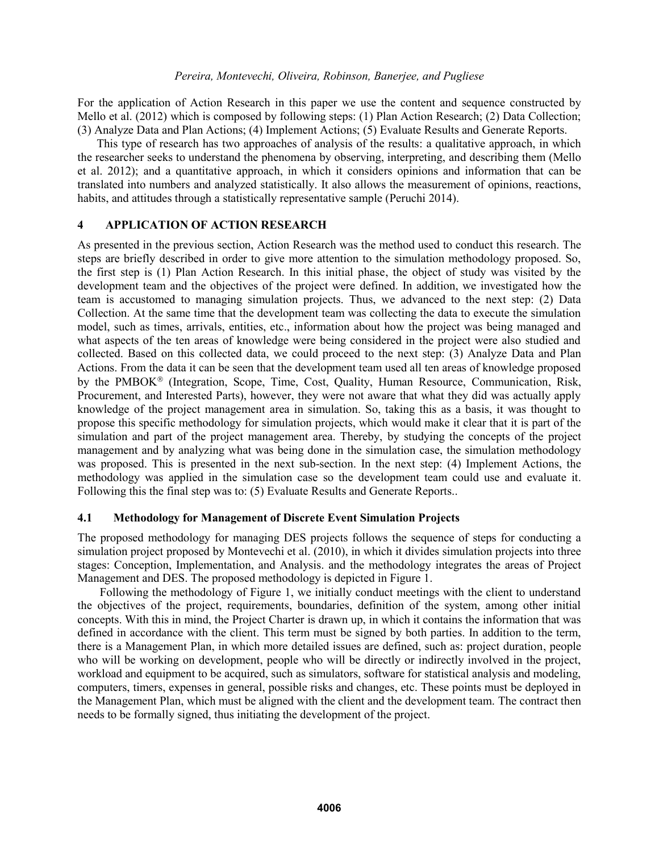For the application of Action Research in this paper we use the content and sequence constructed by Mello et al. (2012) which is composed by following steps: (1) Plan Action Research; (2) Data Collection; (3) Analyze Data and Plan Actions; (4) Implement Actions; (5) Evaluate Results and Generate Reports.

This type of research has two approaches of analysis of the results: a qualitative approach, in which the researcher seeks to understand the phenomena by observing, interpreting, and describing them (Mello et al. 2012); and a quantitative approach, in which it considers opinions and information that can be translated into numbers and analyzed statistically. It also allows the measurement of opinions, reactions, habits, and attitudes through a statistically representative sample (Peruchi 2014).

# **4 APPLICATION OF ACTION RESEARCH**

As presented in the previous section, Action Research was the method used to conduct this research. The steps are briefly described in order to give more attention to the simulation methodology proposed. So, the first step is (1) Plan Action Research. In this initial phase, the object of study was visited by the development team and the objectives of the project were defined. In addition, we investigated how the team is accustomed to managing simulation projects. Thus, we advanced to the next step: (2) Data Collection. At the same time that the development team was collecting the data to execute the simulation model, such as times, arrivals, entities, etc., information about how the project was being managed and what aspects of the ten areas of knowledge were being considered in the project were also studied and collected. Based on this collected data, we could proceed to the next step: (3) Analyze Data and Plan Actions. From the data it can be seen that the development team used all ten areas of knowledge proposed by the PMBOK<sup>®</sup> (Integration, Scope, Time, Cost, Quality, Human Resource, Communication, Risk, Procurement, and Interested Parts), however, they were not aware that what they did was actually apply knowledge of the project management area in simulation. So, taking this as a basis, it was thought to propose this specific methodology for simulation projects, which would make it clear that it is part of the simulation and part of the project management area. Thereby, by studying the concepts of the project management and by analyzing what was being done in the simulation case, the simulation methodology was proposed. This is presented in the next sub-section. In the next step: (4) Implement Actions, the methodology was applied in the simulation case so the development team could use and evaluate it. Following this the final step was to: (5) Evaluate Results and Generate Reports..

# **4.1 Methodology for Management of Discrete Event Simulation Projects**

The proposed methodology for managing DES projects follows the sequence of steps for conducting a simulation project proposed by Montevechi et al. (2010), in which it divides simulation projects into three stages: Conception, Implementation, and Analysis. and the methodology integrates the areas of Project Management and DES. The proposed methodology is depicted in Figure 1.

Following the methodology of Figure 1, we initially conduct meetings with the client to understand the objectives of the project, requirements, boundaries, definition of the system, among other initial concepts. With this in mind, the Project Charter is drawn up, in which it contains the information that was defined in accordance with the client. This term must be signed by both parties. In addition to the term, there is a Management Plan, in which more detailed issues are defined, such as: project duration, people who will be working on development, people who will be directly or indirectly involved in the project, workload and equipment to be acquired, such as simulators, software for statistical analysis and modeling, computers, timers, expenses in general, possible risks and changes, etc. These points must be deployed in the Management Plan, which must be aligned with the client and the development team. The contract then needs to be formally signed, thus initiating the development of the project.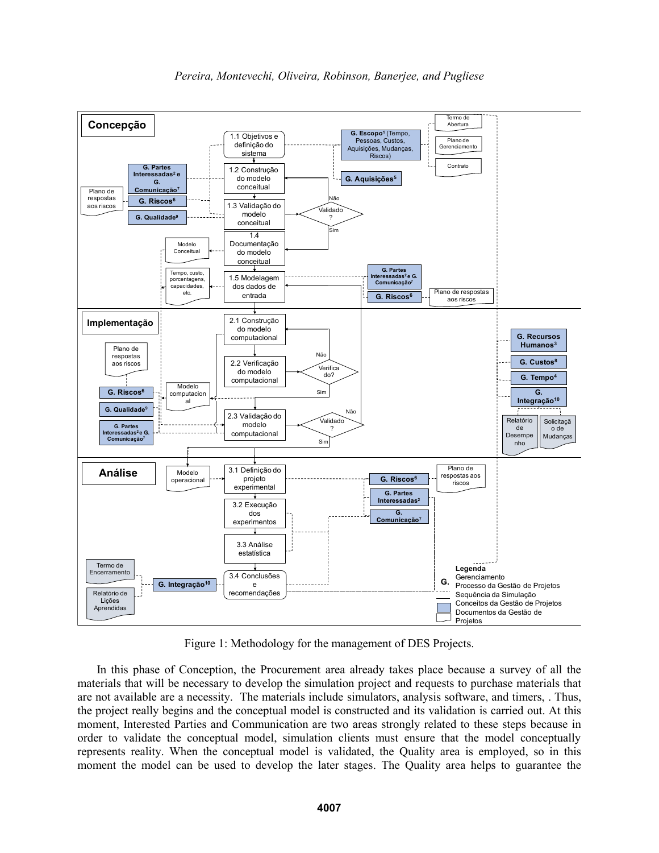

Figure 1: Methodology for the management of DES Projects.

In this phase of Conception, the Procurement area already takes place because a survey of all the materials that will be necessary to develop the simulation project and requests to purchase materials that are not available are a necessity. The materials include simulators, analysis software, and timers, . Thus, the project really begins and the conceptual model is constructed and its validation is carried out. At this moment, Interested Parties and Communication are two areas strongly related to these steps because in order to validate the conceptual model, simulation clients must ensure that the model conceptually represents reality. When the conceptual model is validated, the Quality area is employed, so in this moment the model can be used to develop the later stages. The Quality area helps to guarantee the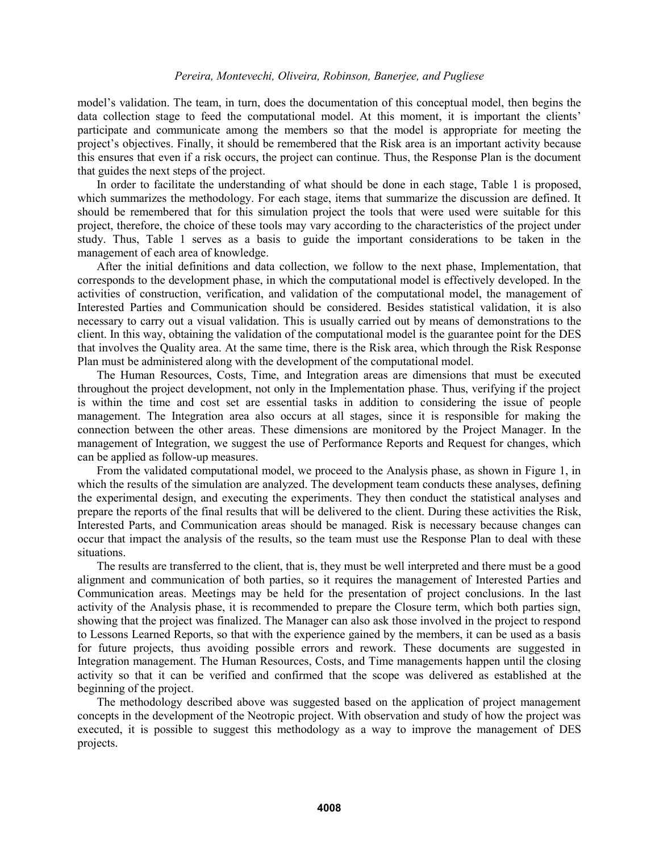model's validation. The team, in turn, does the documentation of this conceptual model, then begins the data collection stage to feed the computational model. At this moment, it is important the clients' participate and communicate among the members so that the model is appropriate for meeting the project's objectives. Finally, it should be remembered that the Risk area is an important activity because this ensures that even if a risk occurs, the project can continue. Thus, the Response Plan is the document that guides the next steps of the project.

In order to facilitate the understanding of what should be done in each stage, Table 1 is proposed, which summarizes the methodology. For each stage, items that summarize the discussion are defined. It should be remembered that for this simulation project the tools that were used were suitable for this project, therefore, the choice of these tools may vary according to the characteristics of the project under study. Thus, Table 1 serves as a basis to guide the important considerations to be taken in the management of each area of knowledge.

After the initial definitions and data collection, we follow to the next phase, Implementation, that corresponds to the development phase, in which the computational model is effectively developed. In the activities of construction, verification, and validation of the computational model, the management of Interested Parties and Communication should be considered. Besides statistical validation, it is also necessary to carry out a visual validation. This is usually carried out by means of demonstrations to the client. In this way, obtaining the validation of the computational model is the guarantee point for the DES that involves the Quality area. At the same time, there is the Risk area, which through the Risk Response Plan must be administered along with the development of the computational model.

The Human Resources, Costs, Time, and Integration areas are dimensions that must be executed throughout the project development, not only in the Implementation phase. Thus, verifying if the project is within the time and cost set are essential tasks in addition to considering the issue of people management. The Integration area also occurs at all stages, since it is responsible for making the connection between the other areas. These dimensions are monitored by the Project Manager. In the management of Integration, we suggest the use of Performance Reports and Request for changes, which can be applied as follow-up measures.

From the validated computational model, we proceed to the Analysis phase, as shown in Figure 1, in which the results of the simulation are analyzed. The development team conducts these analyses, defining the experimental design, and executing the experiments. They then conduct the statistical analyses and prepare the reports of the final results that will be delivered to the client. During these activities the Risk, Interested Parts, and Communication areas should be managed. Risk is necessary because changes can occur that impact the analysis of the results, so the team must use the Response Plan to deal with these situations.

The results are transferred to the client, that is, they must be well interpreted and there must be a good alignment and communication of both parties, so it requires the management of Interested Parties and Communication areas. Meetings may be held for the presentation of project conclusions. In the last activity of the Analysis phase, it is recommended to prepare the Closure term, which both parties sign, showing that the project was finalized. The Manager can also ask those involved in the project to respond to Lessons Learned Reports, so that with the experience gained by the members, it can be used as a basis for future projects, thus avoiding possible errors and rework. These documents are suggested in Integration management. The Human Resources, Costs, and Time managements happen until the closing activity so that it can be verified and confirmed that the scope was delivered as established at the beginning of the project.

The methodology described above was suggested based on the application of project management concepts in the development of the Neotropic project. With observation and study of how the project was executed, it is possible to suggest this methodology as a way to improve the management of DES projects.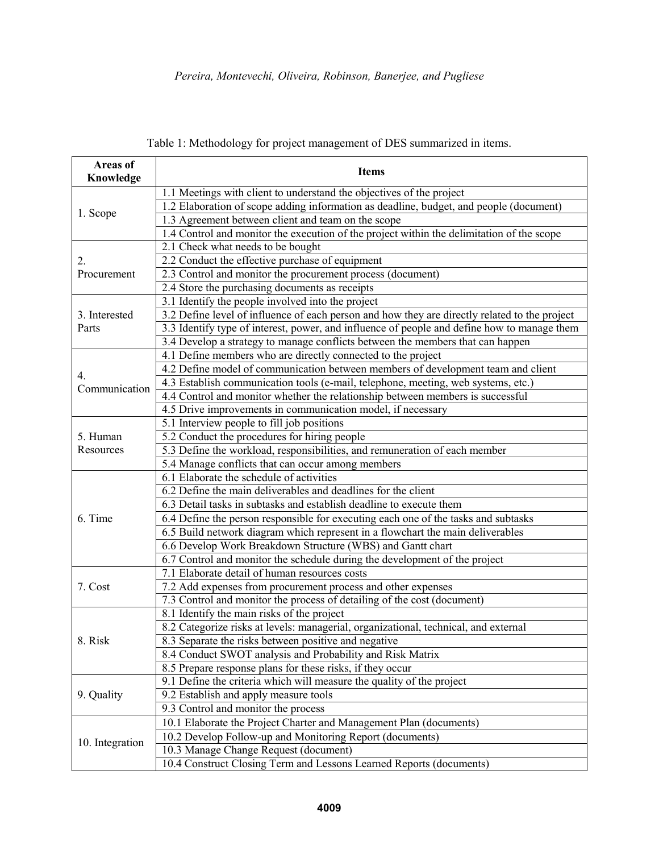| Areas of<br>Knowledge  | <b>Items</b>                                                                                  |
|------------------------|-----------------------------------------------------------------------------------------------|
| 1. Scope               | 1.1 Meetings with client to understand the objectives of the project                          |
|                        | 1.2 Elaboration of scope adding information as deadline, budget, and people (document)        |
|                        | 1.3 Agreement between client and team on the scope                                            |
|                        | 1.4 Control and monitor the execution of the project within the delimitation of the scope     |
| 2.<br>Procurement      | 2.1 Check what needs to be bought                                                             |
|                        | 2.2 Conduct the effective purchase of equipment                                               |
|                        | 2.3 Control and monitor the procurement process (document)                                    |
|                        | 2.4 Store the purchasing documents as receipts                                                |
| 3. Interested<br>Parts | 3.1 Identify the people involved into the project                                             |
|                        | 3.2 Define level of influence of each person and how they are directly related to the project |
|                        | 3.3 Identify type of interest, power, and influence of people and define how to manage them   |
|                        | 3.4 Develop a strategy to manage conflicts between the members that can happen                |
| 4.<br>Communication    | 4.1 Define members who are directly connected to the project                                  |
|                        | 4.2 Define model of communication between members of development team and client              |
|                        | 4.3 Establish communication tools (e-mail, telephone, meeting, web systems, etc.)             |
|                        | 4.4 Control and monitor whether the relationship between members is successful                |
|                        | 4.5 Drive improvements in communication model, if necessary                                   |
| 5. Human<br>Resources  | 5.1 Interview people to fill job positions                                                    |
|                        | 5.2 Conduct the procedures for hiring people                                                  |
|                        | 5.3 Define the workload, responsibilities, and remuneration of each member                    |
|                        | 5.4 Manage conflicts that can occur among members                                             |
| 6. Time                | 6.1 Elaborate the schedule of activities                                                      |
|                        | 6.2 Define the main deliverables and deadlines for the client                                 |
|                        | 6.3 Detail tasks in subtasks and establish deadline to execute them                           |
|                        | 6.4 Define the person responsible for executing each one of the tasks and subtasks            |
|                        | 6.5 Build network diagram which represent in a flowchart the main deliverables                |
|                        | 6.6 Develop Work Breakdown Structure (WBS) and Gantt chart                                    |
|                        | 6.7 Control and monitor the schedule during the development of the project                    |
| 7. Cost                | 7.1 Elaborate detail of human resources costs                                                 |
|                        | 7.2 Add expenses from procurement process and other expenses                                  |
|                        | 7.3 Control and monitor the process of detailing of the cost (document)                       |
| 8. Risk                | 8.1 Identify the main risks of the project                                                    |
|                        | 8.2 Categorize risks at levels: managerial, organizational, technical, and external           |
|                        | 8.3 Separate the risks between positive and negative                                          |
|                        | 8.4 Conduct SWOT analysis and Probability and Risk Matrix                                     |
|                        | 8.5 Prepare response plans for these risks, if they occur                                     |
| 9. Quality             | 9.1 Define the criteria which will measure the quality of the project                         |
|                        | 9.2 Establish and apply measure tools                                                         |
|                        | 9.3 Control and monitor the process                                                           |
| 10. Integration        | 10.1 Elaborate the Project Charter and Management Plan (documents)                            |
|                        | 10.2 Develop Follow-up and Monitoring Report (documents)                                      |
|                        | 10.3 Manage Change Request (document)                                                         |
|                        | 10.4 Construct Closing Term and Lessons Learned Reports (documents)                           |

Table 1: Methodology for project management of DES summarized in items.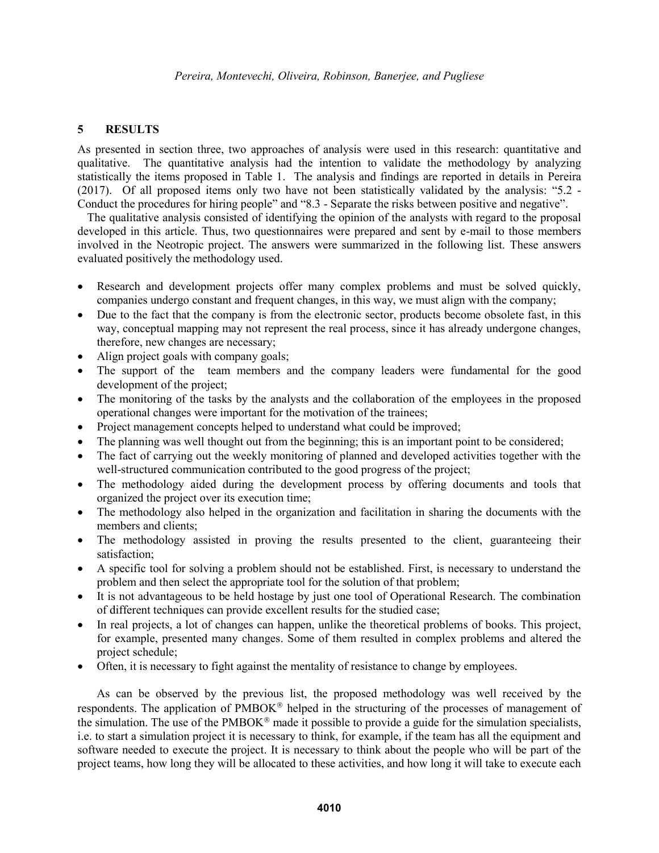### **5 RESULTS**

As presented in section three, two approaches of analysis were used in this research: quantitative and qualitative. The quantitative analysis had the intention to validate the methodology by analyzing statistically the items proposed in Table 1. The analysis and findings are reported in details in Pereira (2017). Of all proposed items only two have not been statistically validated by the analysis: "5.2 - Conduct the procedures for hiring people" and "8.3 - Separate the risks between positive and negative".

The qualitative analysis consisted of identifying the opinion of the analysts with regard to the proposal developed in this article. Thus, two questionnaires were prepared and sent by e-mail to those members involved in the Neotropic project. The answers were summarized in the following list. These answers evaluated positively the methodology used.

- Research and development projects offer many complex problems and must be solved quickly, companies undergo constant and frequent changes, in this way, we must align with the company;
- Due to the fact that the company is from the electronic sector, products become obsolete fast, in this way, conceptual mapping may not represent the real process, since it has already undergone changes, therefore, new changes are necessary;
- Align project goals with company goals;
- The support of the team members and the company leaders were fundamental for the good development of the project;
- The monitoring of the tasks by the analysts and the collaboration of the employees in the proposed operational changes were important for the motivation of the trainees;
- Project management concepts helped to understand what could be improved;
- The planning was well thought out from the beginning; this is an important point to be considered;
- The fact of carrying out the weekly monitoring of planned and developed activities together with the well-structured communication contributed to the good progress of the project;
- The methodology aided during the development process by offering documents and tools that organized the project over its execution time;
- The methodology also helped in the organization and facilitation in sharing the documents with the members and clients;
- The methodology assisted in proving the results presented to the client, guaranteeing their satisfaction;
- A specific tool for solving a problem should not be established. First, is necessary to understand the problem and then select the appropriate tool for the solution of that problem;
- It is not advantageous to be held hostage by just one tool of Operational Research. The combination of different techniques can provide excellent results for the studied case;
- In real projects, a lot of changes can happen, unlike the theoretical problems of books. This project, for example, presented many changes. Some of them resulted in complex problems and altered the project schedule;
- Often, it is necessary to fight against the mentality of resistance to change by employees.

As can be observed by the previous list, the proposed methodology was well received by the respondents. The application of  $PMBOK^{\circledcirc}$  helped in the structuring of the processes of management of the simulation. The use of the  $PMBOK^{\circledast}$  made it possible to provide a guide for the simulation specialists, i.e. to start a simulation project it is necessary to think, for example, if the team has all the equipment and software needed to execute the project. It is necessary to think about the people who will be part of the project teams, how long they will be allocated to these activities, and how long it will take to execute each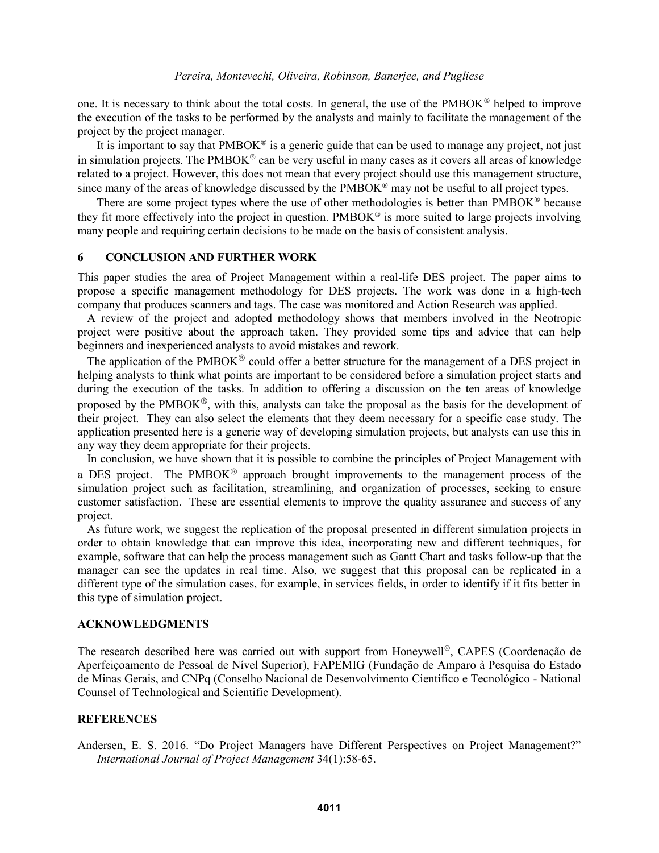one. It is necessary to think about the total costs. In general, the use of the PMBOK $\mathscr P$  helped to improve the execution of the tasks to be performed by the analysts and mainly to facilitate the management of the project by the project manager.

It is important to say that  $PMBOK^{\circledast}$  is a generic guide that can be used to manage any project, not just in simulation projects. The PMBOK<sup>®</sup> can be very useful in many cases as it covers all areas of knowledge related to a project. However, this does not mean that every project should use this management structure, since many of the areas of knowledge discussed by the  $PMBOK^{\circledcirc}$  may not be useful to all project types.

There are some project types where the use of other methodologies is better than  $PMBOK^{\circledcirc}$  because they fit more effectively into the project in question.  $PMBOK^{\circledcirc}$  is more suited to large projects involving many people and requiring certain decisions to be made on the basis of consistent analysis.

# **6 CONCLUSION AND FURTHER WORK**

This paper studies the area of Project Management within a real-life DES project. The paper aims to propose a specific management methodology for DES projects. The work was done in a high-tech company that produces scanners and tags. The case was monitored and Action Research was applied.

A review of the project and adopted methodology shows that members involved in the Neotropic project were positive about the approach taken. They provided some tips and advice that can help beginners and inexperienced analysts to avoid mistakes and rework.

The application of the  $PMBOK^{\circledR}$  could offer a better structure for the management of a DES project in helping analysts to think what points are important to be considered before a simulation project starts and during the execution of the tasks. In addition to offering a discussion on the ten areas of knowledge proposed by the PMBOK®, with this, analysts can take the proposal as the basis for the development of their project. They can also select the elements that they deem necessary for a specific case study. The application presented here is a generic way of developing simulation projects, but analysts can use this in any way they deem appropriate for their projects.

In conclusion, we have shown that it is possible to combine the principles of Project Management with a DES project. The PMBOK<sup>®</sup> approach brought improvements to the management process of the simulation project such as facilitation, streamlining, and organization of processes, seeking to ensure customer satisfaction. These are essential elements to improve the quality assurance and success of any project.

As future work, we suggest the replication of the proposal presented in different simulation projects in order to obtain knowledge that can improve this idea, incorporating new and different techniques, for example, software that can help the process management such as Gantt Chart and tasks follow-up that the manager can see the updates in real time. Also, we suggest that this proposal can be replicated in a different type of the simulation cases, for example, in services fields, in order to identify if it fits better in this type of simulation project.

#### **ACKNOWLEDGMENTS**

The research described here was carried out with support from Honeywell<sup>®</sup>, CAPES (Coordenação de Aperfeiçoamento de Pessoal de Nível Superior), FAPEMIG (Fundação de Amparo à Pesquisa do Estado de Minas Gerais, and CNPq (Conselho Nacional de Desenvolvimento Científico e Tecnológico - National Counsel of Technological and Scientific Development).

#### **REFERENCES**

Andersen, E. S. 2016. "Do Project Managers have Different Perspectives on Project Management?" *International Journal of Project Management* 34(1):58-65.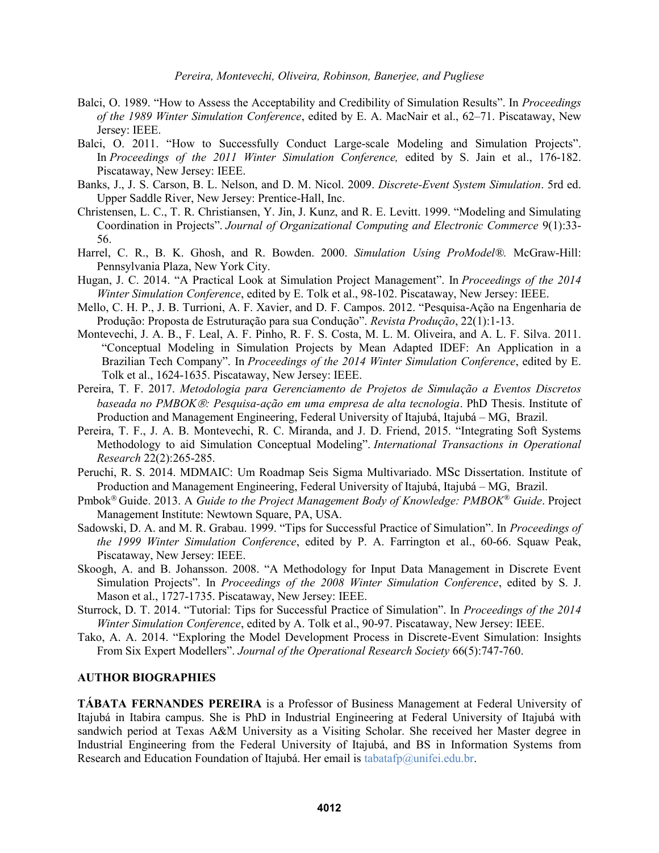- Balci, O. 1989. "How to Assess the Acceptability and Credibility of Simulation Results". In *Proceedings of the 1989 Winter Simulation Conference*, edited by E. A. MacNair et al., 62–71. Piscataway, New Jersey: IEEE.
- Balci, O. 2011. "How to Successfully Conduct Large-scale Modeling and Simulation Projects". In *Proceedings of the 2011 Winter Simulation Conference,* edited by S. Jain et al., 176-182. Piscataway, New Jersey: IEEE.
- Banks, J., J. S. Carson, B. L. Nelson, and D. M. Nicol. 2009. *Discrete-Event System Simulation*. 5rd ed. Upper Saddle River, New Jersey: Prentice-Hall, Inc.
- Christensen, L. C., T. R. Christiansen, Y. Jin, J. Kunz, and R. E. Levitt. 1999. "Modeling and Simulating Coordination in Projects". *Journal of Organizational Computing and Electronic Commerce* 9(1):33- 56.
- Harrel, C. R., B. K. Ghosh, and R. Bowden. 2000. *Simulation Using ProModel®.* McGraw-Hill: Pennsylvania Plaza, New York City.
- Hugan, J. C. 2014. "A Practical Look at Simulation Project Management". In *Proceedings of the 2014 Winter Simulation Conference*, edited by E. Tolk et al., 98-102. Piscataway, New Jersey: IEEE.
- Mello, C. H. P., J. B. Turrioni, A. F. Xavier, and D. F. Campos. 2012. "Pesquisa-Ação na Engenharia de Produção: Proposta de Estruturação para sua Condução". *Revista Produção*, 22(1):1-13.
- Montevechi, J. A. B., F. Leal, A. F. Pinho, R. F. S. Costa, M. L. M. Oliveira, and A. L. F. Silva. 2011. "Conceptual Modeling in Simulation Projects by Mean Adapted IDEF: An Application in a Brazilian Tech Company". In *Proceedings of the 2014 Winter Simulation Conference*, edited by E. Tolk et al., 1624-1635. Piscataway, New Jersey: IEEE.
- Pereira, T. F. 2017. *Metodologia para Gerenciamento de Projetos de Simulação a Eventos Discretos baseada no PMBOK: Pesquisa-ação em uma empresa de alta tecnologia*. PhD Thesis. Institute of Production and Management Engineering, Federal University of Itajubá, Itajubá – MG, Brazil.
- Pereira, T. F., J. A. B. Montevechi, R. C. Miranda, and J. D. Friend, 2015. "Integrating Soft Systems Methodology to aid Simulation Conceptual Modeling". *International Transactions in Operational Research* 22(2):265-285.
- Peruchi, R. S. 2014. MDMAIC: Um Roadmap Seis Sigma Multivariado. MSc Dissertation. Institute of Production and Management Engineering, Federal University of Itajubá, Itajubá – MG, Brazil.
- Pmbok Guide. 2013. A *Guide to the Project Management Body of Knowledge: PMBOK® Guide*. Project Management Institute: Newtown Square, PA, USA.
- Sadowski, D. A. and M. R. Grabau. 1999. "Tips for Successful Practice of Simulation". In *Proceedings of the 1999 Winter Simulation Conference*, edited by P. A. Farrington et al., 60-66. Squaw Peak, Piscataway, New Jersey: IEEE.
- Skoogh, A. and B. Johansson. 2008. "A Methodology for Input Data Management in Discrete Event Simulation Projects". In *Proceedings of the 2008 Winter Simulation Conference*, edited by S. J. Mason et al., 1727-1735. Piscataway, New Jersey: IEEE.
- Sturrock, D. T. 2014. "Tutorial: Tips for Successful Practice of Simulation". In *Proceedings of the 2014 Winter Simulation Conference*, edited by A. Tolk et al., 90-97. Piscataway, New Jersey: IEEE.
- Tako, A. A. 2014. "Exploring the Model Development Process in Discrete-Event Simulation: Insights From Six Expert Modellers". *Journal of the Operational Research Society* 66(5):747-760.

# **AUTHOR BIOGRAPHIES**

**TÁBATA FERNANDES PEREIRA** is a Professor of Business Management at Federal University of Itajubá in Itabira campus. She is PhD in Industrial Engineering at Federal University of Itajubá with sandwich period at Texas A&M University as a Visiting Scholar. She received her Master degree in Industrial Engineering from the Federal University of Itajubá, and BS in Information Systems from Research and Education Foundation of Itajubá. Her email is tabatafp@unifei.edu.br.